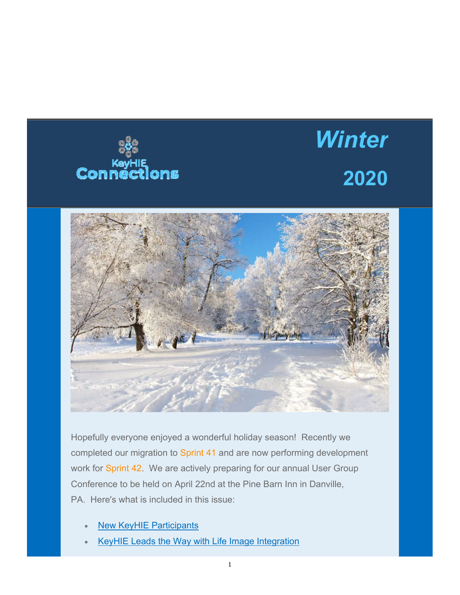

## *Winter* **2020**



 PA. Here's what is included in this issue: Hopefully everyone enjoyed a wonderful holiday season! Recently we completed our migration to Sprint 41 and are now performing development work for Sprint 42. We are actively preparing for our annual User Group Conference to be held on April 22nd at the Pine Barn Inn in Danville,

- New KeyHIE Participants
- KeyHIE Leads the Way with Life Image Integration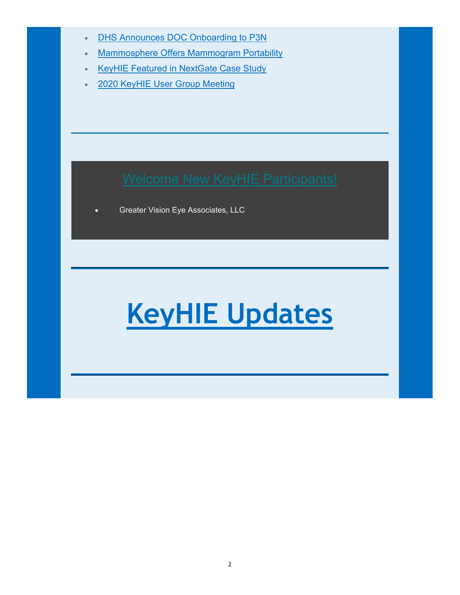- **DHS Announces DOC Onboarding to P3N**
- Mammosphere Offers Mammogram Portability
- **KeyHIE Featured in NextGate Case Study**
- 2020 KeyHIE User Group Meeting

Greater Vision Eye Associates, LLC

# **KeyHIE Updates**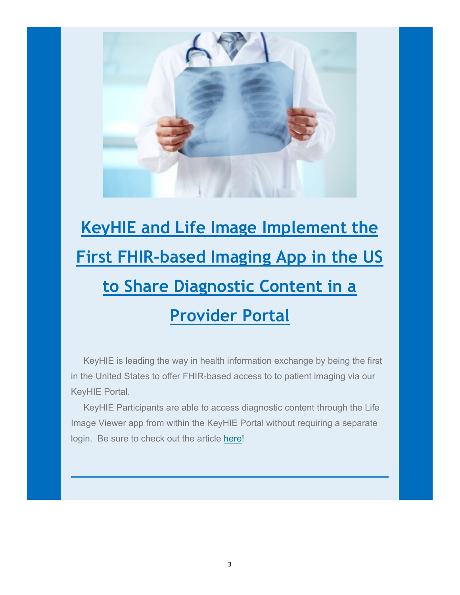

## **Provider Portal KeyHIE and Life Image Implement the First FHIR-based Imaging App in the US to Share Diagnostic Content in a**

 KeyHIE is leading the way in health information exchange by being the first in the United States to offer FHIR-based access to to patient imaging via our KeyHIE Portal.

 KeyHIE Participants are able to access diagnostic content through the Life Image Viewer app from within the KeyHIE Portal without requiring a separate login. Be sure to check out the article here!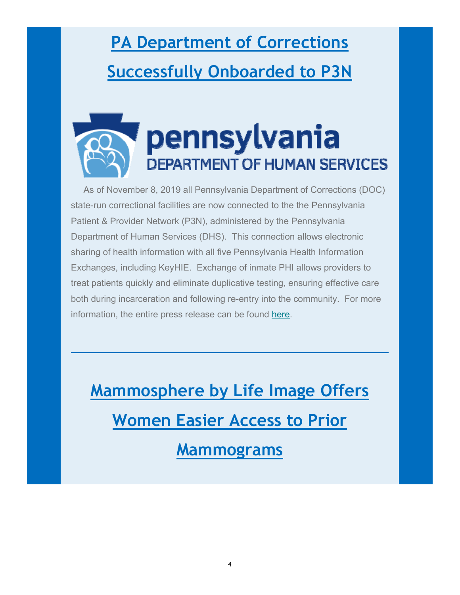### **Successfully Onboarded to P3N PA Department of Corrections**



 As of November 8, 2019 all Pennsylvania Department of Corrections (DOC) state-run correctional facilities are now connected to the the Pennsylvania Patient & Provider Network (P3N), administered by the Pennsylvania Department of Human Services (DHS). This connection allows electronic sharing of health information with all five Pennsylvania Health Information Exchanges, including KeyHIE. Exchange of inmate PHI allows providers to treat patients quickly and eliminate duplicative testing, ensuring effective care both during incarceration and following re-entry into the community. For more information, the entire press release can be found here.

**Mammosphere by Life Image Offers Women Easier Access to Prior Mammograms**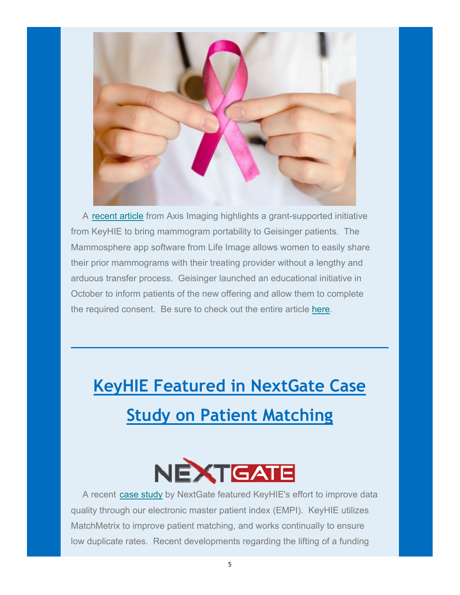

 A recent article from Axis Imaging highlights a grant-supported initiative from KeyHIE to bring mammogram portability to Geisinger patients. The Mammosphere app software from Life Image allows women to easily share their prior mammograms with their treating provider without a lengthy and arduous transfer process. Geisinger launched an educational initiative in October to inform patients of the new offering and allow them to complete the required consent. Be sure to check out the entire article here.

#### **Study on Patient Matching KeyHIE Featured in NextGate Case**



 A recent case study by NextGate featured KeyHIE's effort to improve data quality through our electronic master patient index (EMPI). KeyHIE utilizes MatchMetrix to improve patient matching, and works continually to ensure low duplicate rates. Recent developments regarding the lifting of a funding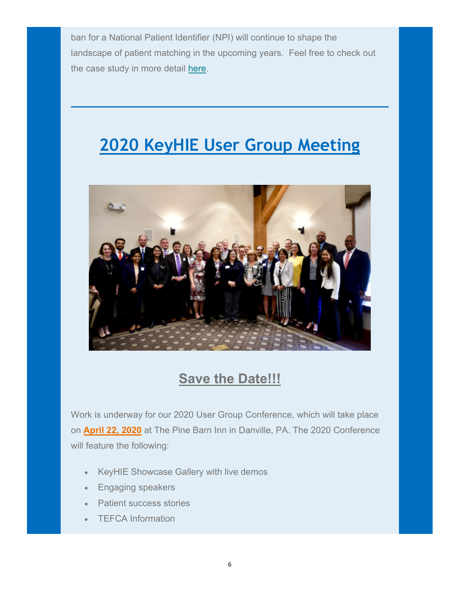ban for a National Patient Identifier (NPI) will continue to shape the landscape of patient matching in the upcoming years. Feel free to check out the case study in more detail here.

#### **2020 KeyHIE User Group Meeting**



#### **Save the Date!!!**

Work is underway for our 2020 User Group Conference, which will take place on **April 22, 2020** at The Pine Barn Inn in Danville, PA. The 2020 Conference will feature the following:

- KeyHIE Showcase Gallery with live demos
- Engaging speakers
- Patient success stories
- TEFCA Information